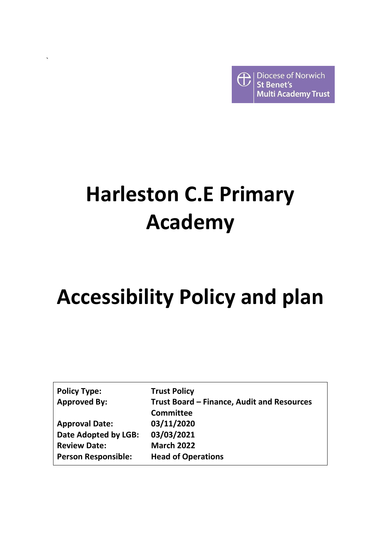Diocese of Norwich € **St Benet's Multi Academy Trust** 

# **Harleston C.E Primary Academy**

`

# **Accessibility Policy and plan**

| <b>Policy Type:</b>        | <b>Trust Policy</b>                        |
|----------------------------|--------------------------------------------|
| <b>Approved By:</b>        | Trust Board – Finance, Audit and Resources |
|                            | <b>Committee</b>                           |
| <b>Approval Date:</b>      | 03/11/2020                                 |
| Date Adopted by LGB:       | 03/03/2021                                 |
| <b>Review Date:</b>        | <b>March 2022</b>                          |
| <b>Person Responsible:</b> | <b>Head of Operations</b>                  |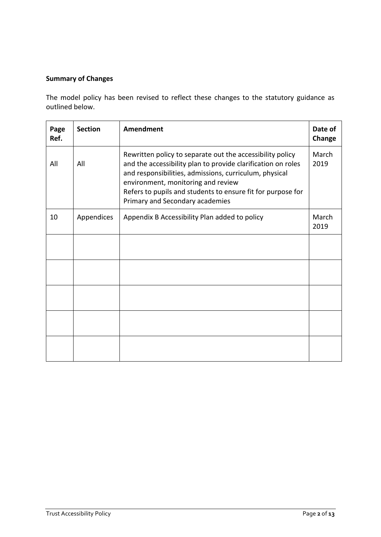# **Summary of Changes**

The model policy has been revised to reflect these changes to the statutory guidance as outlined below.

| Page<br>Ref. | <b>Section</b> | Amendment                                                                                                                                                                                                                                                                                                                   | Date of<br>Change |
|--------------|----------------|-----------------------------------------------------------------------------------------------------------------------------------------------------------------------------------------------------------------------------------------------------------------------------------------------------------------------------|-------------------|
| All          | All            | Rewritten policy to separate out the accessibility policy<br>and the accessibility plan to provide clarification on roles<br>and responsibilities, admissions, curriculum, physical<br>environment, monitoring and review<br>Refers to pupils and students to ensure fit for purpose for<br>Primary and Secondary academies | March<br>2019     |
| 10           | Appendices     | Appendix B Accessibility Plan added to policy                                                                                                                                                                                                                                                                               | March<br>2019     |
|              |                |                                                                                                                                                                                                                                                                                                                             |                   |
|              |                |                                                                                                                                                                                                                                                                                                                             |                   |
|              |                |                                                                                                                                                                                                                                                                                                                             |                   |
|              |                |                                                                                                                                                                                                                                                                                                                             |                   |
|              |                |                                                                                                                                                                                                                                                                                                                             |                   |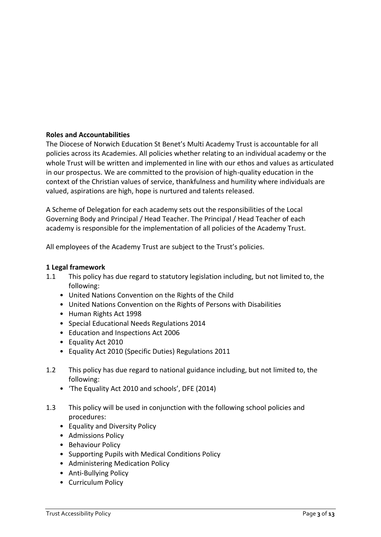### **Roles and Accountabilities**

The Diocese of Norwich Education St Benet's Multi Academy Trust is accountable for all policies across its Academies. All policies whether relating to an individual academy or the whole Trust will be written and implemented in line with our ethos and values as articulated in our prospectus. We are committed to the provision of high-quality education in the context of the Christian values of service, thankfulness and humility where individuals are valued, aspirations are high, hope is nurtured and talents released.

A Scheme of Delegation for each academy sets out the responsibilities of the Local Governing Body and Principal / Head Teacher. The Principal / Head Teacher of each academy is responsible for the implementation of all policies of the Academy Trust.

All employees of the Academy Trust are subject to the Trust's policies.

#### **1 Legal framework**

- 1.1 This policy has due regard to statutory legislation including, but not limited to, the following:
	- United Nations Convention on the Rights of the Child
	- United Nations Convention on the Rights of Persons with Disabilities
	- Human Rights Act 1998
	- Special Educational Needs Regulations 2014
	- Education and Inspections Act 2006
	- Equality Act 2010
	- Equality Act 2010 (Specific Duties) Regulations 2011
- 1.2 This policy has due regard to national guidance including, but not limited to, the following:
	- 'The Equality Act 2010 and schools', DFE (2014)
- 1.3 This policy will be used in conjunction with the following school policies and procedures:
	- Equality and Diversity Policy
	- Admissions Policy
	- Behaviour Policy
	- Supporting Pupils with Medical Conditions Policy
	- Administering Medication Policy
	- Anti-Bullying Policy
	- Curriculum Policy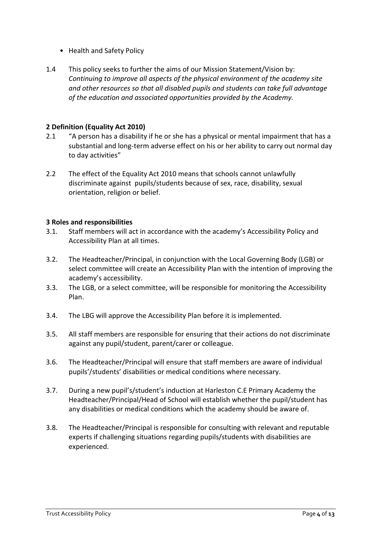- Health and Safety Policy
- 1.4 This policy seeks to further the aims of our Mission Statement/Vision by: *Continuing to improve all aspects of the physical environment of the academy site and other resources so that all disabled pupils and students can take full advantage of the education and associated opportunities provided by the Academy.*

## **2 Definition (Equality Act 2010)**

- 2.1 "A person has a disability if he or she has a physical or mental impairment that has a substantial and long-term adverse effect on his or her ability to carry out normal day to day activities"
- 2.2 The effect of the Equality Act 2010 means that schools cannot unlawfully discriminate against pupils/students because of sex, race, disability, sexual orientation, religion or belief.

### **3 Roles and responsibilities**

- 3.1. Staff members will act in accordance with the academy's Accessibility Policy and Accessibility Plan at all times.
- 3.2. The Headteacher/Principal, in conjunction with the Local Governing Body (LGB) or select committee will create an Accessibility Plan with the intention of improving the academy's accessibility.
- 3.3. The LGB, or a select committee, will be responsible for monitoring the Accessibility Plan.
- 3.4. The LBG will approve the Accessibility Plan before it is implemented.
- 3.5. All staff members are responsible for ensuring that their actions do not discriminate against any pupil/student, parent/carer or colleague.
- 3.6. The Headteacher/Principal will ensure that staff members are aware of individual pupils'/students' disabilities or medical conditions where necessary.
- 3.7. During a new pupil's/student's induction at Harleston C.E Primary Academy the Headteacher/Principal/Head of School will establish whether the pupil/student has any disabilities or medical conditions which the academy should be aware of.
- 3.8. The Headteacher/Principal is responsible for consulting with relevant and reputable experts if challenging situations regarding pupils/students with disabilities are experienced.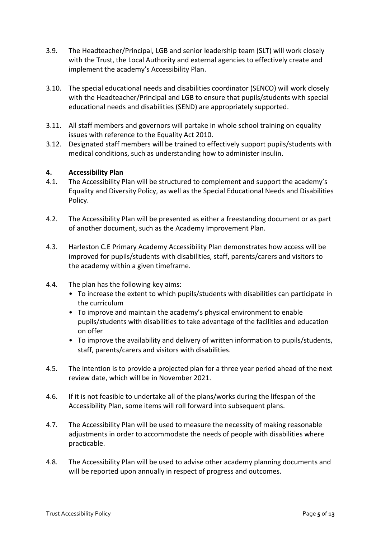- 3.9. The Headteacher/Principal, LGB and senior leadership team (SLT) will work closely with the Trust, the Local Authority and external agencies to effectively create and implement the academy's Accessibility Plan.
- 3.10. The special educational needs and disabilities coordinator (SENCO) will work closely with the Headteacher/Principal and LGB to ensure that pupils/students with special educational needs and disabilities (SEND) are appropriately supported.
- 3.11. All staff members and governors will partake in whole school training on equality issues with reference to the Equality Act 2010.
- 3.12. Designated staff members will be trained to effectively support pupils/students with medical conditions, such as understanding how to administer insulin.

## **4. Accessibility Plan**

- 4.1. The Accessibility Plan will be structured to complement and support the academy's Equality and Diversity Policy, as well as the Special Educational Needs and Disabilities Policy.
- 4.2. The Accessibility Plan will be presented as either a freestanding document or as part of another document, such as the Academy Improvement Plan.
- 4.3. Harleston C.E Primary Academy Accessibility Plan demonstrates how access will be improved for pupils/students with disabilities, staff, parents/carers and visitors to the academy within a given timeframe.
- 4.4. The plan has the following key aims:
	- To increase the extent to which pupils/students with disabilities can participate in the curriculum
	- To improve and maintain the academy's physical environment to enable pupils/students with disabilities to take advantage of the facilities and education on offer
	- To improve the availability and delivery of written information to pupils/students, staff, parents/carers and visitors with disabilities.
- 4.5. The intention is to provide a projected plan for a three year period ahead of the next review date, which will be in November 2021.
- 4.6. If it is not feasible to undertake all of the plans/works during the lifespan of the Accessibility Plan, some items will roll forward into subsequent plans.
- 4.7. The Accessibility Plan will be used to measure the necessity of making reasonable adjustments in order to accommodate the needs of people with disabilities where practicable.
- 4.8. The Accessibility Plan will be used to advise other academy planning documents and will be reported upon annually in respect of progress and outcomes.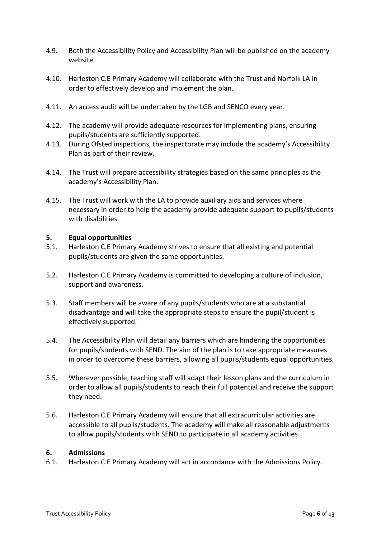- 4.9. Both the Accessibility Policy and Accessibility Plan will be published on the academy website.
- 4.10. Harleston C.E Primary Academy will collaborate with the Trust and Norfolk LA in order to effectively develop and implement the plan.
- 4.11. An access audit will be undertaken by the LGB and SENCO every year.
- 4.12. The academy will provide adequate resources for implementing plans, ensuring pupils/students are sufficiently supported.
- 4.13. During Ofsted inspections, the inspectorate may include the academy's Accessibility Plan as part of their review.
- 4.14. The Trust will prepare accessibility strategies based on the same principles as the academy's Accessibility Plan.
- 4.15. The Trust will work with the LA to provide auxiliary aids and services where necessary in order to help the academy provide adequate support to pupils/students with disabilities.

#### **5. Equal opportunities**

- 5.1. Harleston C.E Primary Academy strives to ensure that all existing and potential pupils/students are given the same opportunities.
- 5.2. Harleston C.E Primary Academy is committed to developing a culture of inclusion, support and awareness.
- 5.3. Staff members will be aware of any pupils/students who are at a substantial disadvantage and will take the appropriate steps to ensure the pupil/student is effectively supported.
- 5.4. The Accessibility Plan will detail any barriers which are hindering the opportunities for pupils/students with SEND. The aim of the plan is to take appropriate measures in order to overcome these barriers, allowing all pupils/students equal opportunities.
- 5.5. Wherever possible, teaching staff will adapt their lesson plans and the curriculum in order to allow all pupils/students to reach their full potential and receive the support they need.
- 5.6. Harleston C.E Primary Academy will ensure that all extracurricular activities are accessible to all pupils/students. The academy will make all reasonable adjustments to allow pupils/students with SEND to participate in all academy activities.

#### **6. Admissions**

6.1. Harleston C.E Primary Academy will act in accordance with the Admissions Policy.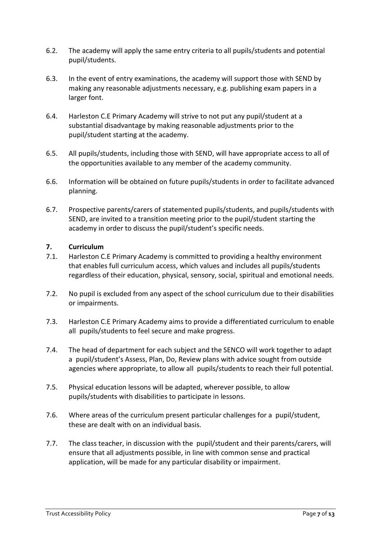- 6.2. The academy will apply the same entry criteria to all pupils/students and potential pupil/students.
- 6.3. In the event of entry examinations, the academy will support those with SEND by making any reasonable adjustments necessary, e.g. publishing exam papers in a larger font.
- 6.4. Harleston C.E Primary Academy will strive to not put any pupil/student at a substantial disadvantage by making reasonable adjustments prior to the pupil/student starting at the academy.
- 6.5. All pupils/students, including those with SEND, will have appropriate access to all of the opportunities available to any member of the academy community.
- 6.6. Information will be obtained on future pupils/students in order to facilitate advanced planning.
- 6.7. Prospective parents/carers of statemented pupils/students, and pupils/students with SEND, are invited to a transition meeting prior to the pupil/student starting the academy in order to discuss the pupil/student's specific needs.

## **7. Curriculum**

- 7.1. Harleston C.E Primary Academy is committed to providing a healthy environment that enables full curriculum access, which values and includes all pupils/students regardless of their education, physical, sensory, social, spiritual and emotional needs.
- 7.2. No pupil is excluded from any aspect of the school curriculum due to their disabilities or impairments.
- 7.3. Harleston C.E Primary Academy aims to provide a differentiated curriculum to enable all pupils/students to feel secure and make progress.
- 7.4. The head of department for each subject and the SENCO will work together to adapt a pupil/student's Assess, Plan, Do, Review plans with advice sought from outside agencies where appropriate, to allow all pupils/students to reach their full potential.
- 7.5. Physical education lessons will be adapted, wherever possible, to allow pupils/students with disabilities to participate in lessons.
- 7.6. Where areas of the curriculum present particular challenges for a pupil/student, these are dealt with on an individual basis.
- 7.7. The class teacher, in discussion with the pupil/student and their parents/carers, will ensure that all adjustments possible, in line with common sense and practical application, will be made for any particular disability or impairment.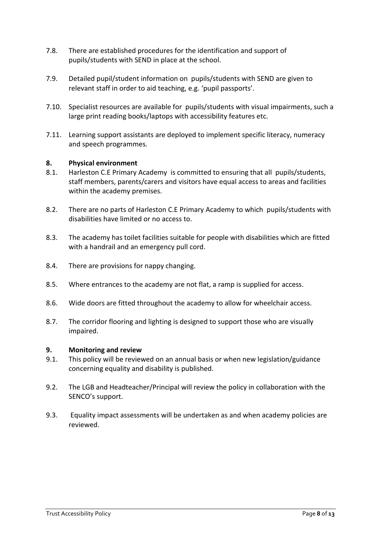- 7.8. There are established procedures for the identification and support of pupils/students with SEND in place at the school.
- 7.9. Detailed pupil/student information on pupils/students with SEND are given to relevant staff in order to aid teaching, e.g. 'pupil passports'.
- 7.10. Specialist resources are available for pupils/students with visual impairments, such a large print reading books/laptops with accessibility features etc.
- 7.11. Learning support assistants are deployed to implement specific literacy, numeracy and speech programmes.

### **8. Physical environment**

- 8.1. Harleston C.E Primary Academy is committed to ensuring that all pupils/students, staff members, parents/carers and visitors have equal access to areas and facilities within the academy premises.
- 8.2. There are no parts of Harleston C.E Primary Academy to which pupils/students with disabilities have limited or no access to.
- 8.3. The academy has toilet facilities suitable for people with disabilities which are fitted with a handrail and an emergency pull cord.
- 8.4. There are provisions for nappy changing.
- 8.5. Where entrances to the academy are not flat, a ramp is supplied for access.
- 8.6. Wide doors are fitted throughout the academy to allow for wheelchair access.
- 8.7. The corridor flooring and lighting is designed to support those who are visually impaired.

#### **9. Monitoring and review**

- 9.1. This policy will be reviewed on an annual basis or when new legislation/guidance concerning equality and disability is published.
- 9.2. The LGB and Headteacher/Principal will review the policy in collaboration with the SENCO's support.
- 9.3. Equality impact assessments will be undertaken as and when academy policies are reviewed.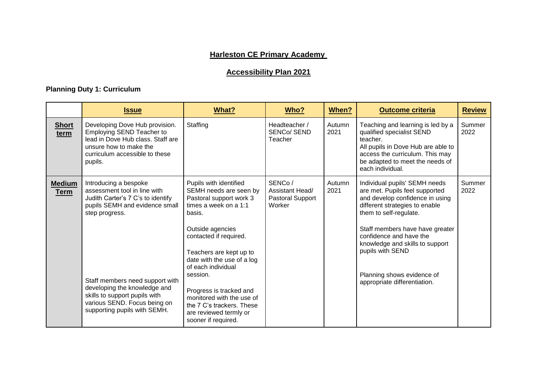# **Harleston CE Primary Academy**

# **Accessibility Plan 2021**

# **Planning Duty 1: Curriculum**

|                              | <b>Issue</b>                                                                                                                                                                                                                                                                                                       | What?                                                                                                                                                                                                                                                                                                                                                                                         | Who?                                                    | When?          | <b>Outcome criteria</b>                                                                                                                                                                                                                                                                                                                           | <b>Review</b>  |
|------------------------------|--------------------------------------------------------------------------------------------------------------------------------------------------------------------------------------------------------------------------------------------------------------------------------------------------------------------|-----------------------------------------------------------------------------------------------------------------------------------------------------------------------------------------------------------------------------------------------------------------------------------------------------------------------------------------------------------------------------------------------|---------------------------------------------------------|----------------|---------------------------------------------------------------------------------------------------------------------------------------------------------------------------------------------------------------------------------------------------------------------------------------------------------------------------------------------------|----------------|
| <b>Short</b><br>term         | Developing Dove Hub provision.<br>Employing SEND Teacher to<br>lead in Dove Hub class. Staff are<br>unsure how to make the<br>curriculum accessible to these<br>pupils.                                                                                                                                            | Staffing                                                                                                                                                                                                                                                                                                                                                                                      | Headteacher /<br><b>SENCO/SEND</b><br>Teacher           | Autumn<br>2021 | Teaching and learning is led by a<br>qualified specialist SEND<br>teacher.<br>All pupils in Dove Hub are able to<br>access the curriculum. This may<br>be adapted to meet the needs of<br>each individual.                                                                                                                                        | Summer<br>2022 |
| <b>Medium</b><br><b>Term</b> | Introducing a bespoke<br>assessment tool in line with<br>Judith Carter's 7 C's to identify<br>pupils SEMH and evidence small<br>step progress.<br>Staff members need support with<br>developing the knowledge and<br>skills to support pupils with<br>various SEND. Focus being on<br>supporting pupils with SEMH. | Pupils with identified<br>SEMH needs are seen by<br>Pastoral support work 3<br>times a week on a 1:1<br>basis.<br>Outside agencies<br>contacted if required.<br>Teachers are kept up to<br>date with the use of a log<br>of each individual<br>session.<br>Progress is tracked and<br>monitored with the use of<br>the 7 C's trackers. These<br>are reviewed termly or<br>sooner if required. | SENCo/<br>Assistant Head/<br>Pastoral Support<br>Worker | Autumn<br>2021 | Individual pupils' SEMH needs<br>are met. Pupils feel supported<br>and develop confidence in using<br>different strategies to enable<br>them to self-regulate.<br>Staff members have have greater<br>confidence and have the<br>knowledge and skills to support<br>pupils with SEND<br>Planning shows evidence of<br>appropriate differentiation. | Summer<br>2022 |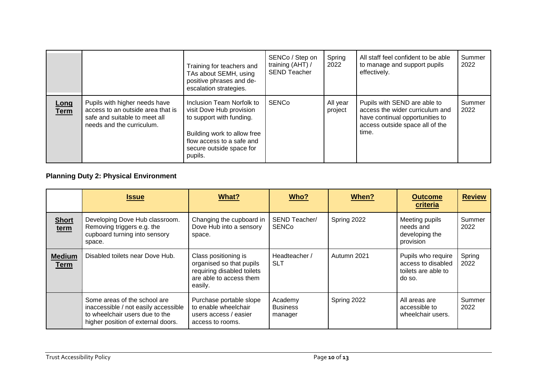|              |                                                                                                                                  | Training for teachers and<br>TAs about SEMH, using<br>positive phrases and de-<br>escalation strategies.                                                                             | SENCo / Step on<br>training (AHT) /<br><b>SEND Teacher</b> | Spring<br>2022      | All staff feel confident to be able<br>to manage and support pupils<br>effectively.                                                            | Summer<br>2022 |
|--------------|----------------------------------------------------------------------------------------------------------------------------------|--------------------------------------------------------------------------------------------------------------------------------------------------------------------------------------|------------------------------------------------------------|---------------------|------------------------------------------------------------------------------------------------------------------------------------------------|----------------|
| Long<br>Term | Pupils with higher needs have<br>access to an outside area that is<br>safe and suitable to meet all<br>needs and the curriculum. | Inclusion Team Norfolk to<br>visit Dove Hub provision<br>to support with funding.<br>Building work to allow free<br>flow access to a safe and<br>secure outside space for<br>pupils. | <b>SENCo</b>                                               | All year<br>project | Pupils with SEND are able to<br>access the wider curriculum and<br>have continual opportunities to<br>access outside space all of the<br>time. | Summer<br>2022 |

# **Planning Duty 2: Physical Environment**

|                              | <b>Issue</b>                                                                                                                                 | What?                                                                                                                | Who?                                  | When?       | <b>Outcome</b><br>criteria                                                | <b>Review</b>  |
|------------------------------|----------------------------------------------------------------------------------------------------------------------------------------------|----------------------------------------------------------------------------------------------------------------------|---------------------------------------|-------------|---------------------------------------------------------------------------|----------------|
| <b>Short</b><br>term         | Developing Dove Hub classroom.<br>Removing triggers e.g. the<br>cupboard turning into sensory<br>space.                                      | Changing the cupboard in<br>Dove Hub into a sensory<br>space.                                                        | SEND Teacher/<br><b>SENCo</b>         | Spring 2022 | Meeting pupils<br>needs and<br>developing the<br>provision                | Summer<br>2022 |
| <b>Medium</b><br><b>Term</b> | Disabled toilets near Dove Hub.                                                                                                              | Class positioning is<br>organised so that pupils<br>requiring disabled toilets<br>are able to access them<br>easily. | Headteacher /<br><b>SLT</b>           | Autumn 2021 | Pupils who require<br>access to disabled<br>toilets are able to<br>do so. | Spring<br>2022 |
|                              | Some areas of the school are<br>inaccessible / not easily accessible<br>to wheelchair users due to the<br>higher position of external doors. | Purchase portable slope<br>to enable wheelchair<br>users access / easier<br>access to rooms.                         | Academy<br><b>Business</b><br>manager | Spring 2022 | All areas are<br>accessible to<br>wheelchair users.                       | Summer<br>2022 |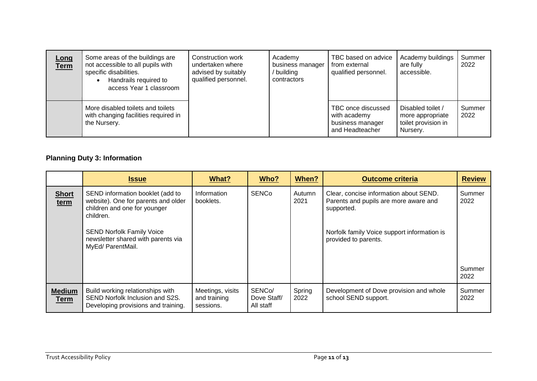| Long<br><b>Term</b> | Some areas of the buildings are<br>not accessible to all pupils with<br>specific disabilities.<br>Handrails required to<br>access Year 1 classroom | Construction work<br>undertaken where<br>advised by suitably<br>qualified personnel. | Academy<br>business manager<br>building<br>contractors | TBC based on advice<br>from external<br>qualified personnel.              | Academy buildings<br>are fully<br>accessible.                            | Summer<br>2022 |
|---------------------|----------------------------------------------------------------------------------------------------------------------------------------------------|--------------------------------------------------------------------------------------|--------------------------------------------------------|---------------------------------------------------------------------------|--------------------------------------------------------------------------|----------------|
|                     | More disabled toilets and toilets<br>with changing facilities required in<br>the Nursery.                                                          |                                                                                      |                                                        | TBC once discussed<br>with academy<br>business manager<br>and Headteacher | Disabled toilet /<br>more appropriate<br>toilet provision in<br>Nursery. | Summer<br>2022 |

# **Planning Duty 3: Information**

|                              | <b>Issue</b>                                                                                                                                                                                                        | What?                                         | Who?                                            | When?          | <b>Outcome criteria</b>                                                                                                                                              | <b>Review</b>  |
|------------------------------|---------------------------------------------------------------------------------------------------------------------------------------------------------------------------------------------------------------------|-----------------------------------------------|-------------------------------------------------|----------------|----------------------------------------------------------------------------------------------------------------------------------------------------------------------|----------------|
| <b>Short</b><br>term         | SEND information booklet (add to<br>website). One for parents and older<br>children and one for younger<br>children.<br><b>SEND Norfolk Family Voice</b><br>newsletter shared with parents via<br>MyEd/ ParentMail. | Information<br>booklets.                      | <b>SENCo</b>                                    | Autumn<br>2021 | Clear, concise information about SEND.<br>Parents and pupils are more aware and<br>supported.<br>Norfolk family Voice support information is<br>provided to parents. | Summer<br>2022 |
|                              |                                                                                                                                                                                                                     |                                               |                                                 |                |                                                                                                                                                                      | Summer<br>2022 |
| <b>Medium</b><br><b>Term</b> | Build working relationships with<br>SEND Norfolk Inclusion and S2S.<br>Developing provisions and training.                                                                                                          | Meetings, visits<br>and training<br>sessions. | SENC <sub>o</sub> /<br>Dove Staff/<br>All staff | Spring<br>2022 | Development of Dove provision and whole<br>school SEND support.                                                                                                      | Summer<br>2022 |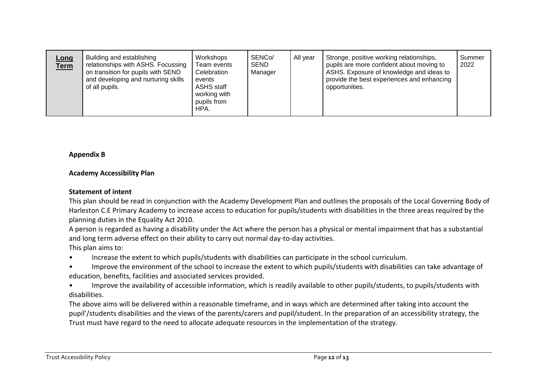| <u>Long</u><br><b>Term</b> | Building and establishing<br>relationships with ASHS. Focussing<br>on transition for pupils with SEND<br>and developing and nurturing skills<br>of all pupils. | Workshops<br>Team events<br>Celebration<br>events<br><b>ASHS staff</b><br>working with<br>pupils from<br>HPA. | SENCo/<br>SEND<br>Manager | All year | Stronge, positive working relationships,<br>pupils are more confident about moving to<br>ASHS. Exposure of knowledge and ideas to<br>provide the best experiences and enhancing<br>opportunities. | Summer<br>2022 |
|----------------------------|----------------------------------------------------------------------------------------------------------------------------------------------------------------|---------------------------------------------------------------------------------------------------------------|---------------------------|----------|---------------------------------------------------------------------------------------------------------------------------------------------------------------------------------------------------|----------------|
|----------------------------|----------------------------------------------------------------------------------------------------------------------------------------------------------------|---------------------------------------------------------------------------------------------------------------|---------------------------|----------|---------------------------------------------------------------------------------------------------------------------------------------------------------------------------------------------------|----------------|

#### **Appendix B**

#### **Academy Accessibility Plan**

#### **Statement of intent**

This plan should be read in conjunction with the Academy Development Plan and outlines the proposals of the Local Governing Body of Harleston C.E Primary Academy to increase access to education for pupils/students with disabilities in the three areas required by the planning duties in the Equality Act 2010.

A person is regarded as having a disability under the Act where the person has a physical or mental impairment that has a substantial and long term adverse effect on their ability to carry out normal day-to-day activities. This plan aims to:

• Increase the extent to which pupils/students with disabilities can participate in the school curriculum.

• Improve the environment of the school to increase the extent to which pupils/students with disabilities can take advantage of education, benefits, facilities and associated services provided.

• Improve the availability of accessible information, which is readily available to other pupils/students, to pupils/students with disabilities.

The above aims will be delivered within a reasonable timeframe, and in ways which are determined after taking into account the pupil'/students disabilities and the views of the parents/carers and pupil/student. In the preparation of an accessibility strategy, the Trust must have regard to the need to allocate adequate resources in the implementation of the strategy.